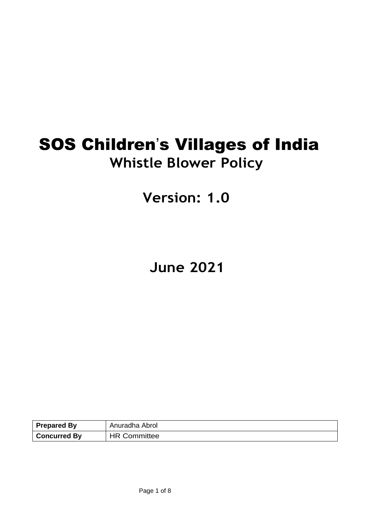# SOS Children's Villages of India **Whistle Blower Policy**

## **Version: 1.0**

## **June 2021**

| <b>Prepared By</b>  | Anuradha Abrol      |
|---------------------|---------------------|
| <b>Concurred By</b> | <b>HR Committee</b> |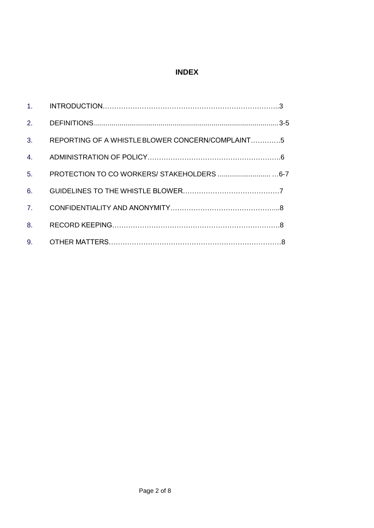## **INDEX**

| 2.             |                                                  |  |
|----------------|--------------------------------------------------|--|
| 3.             | REPORTING OF A WHISTLE BLOWER CONCERN/COMPLAINT5 |  |
| 4.             |                                                  |  |
| 5 <sub>1</sub> |                                                  |  |
| 6.             |                                                  |  |
| 7.             |                                                  |  |
| 8.             |                                                  |  |
| 9 <sub>1</sub> |                                                  |  |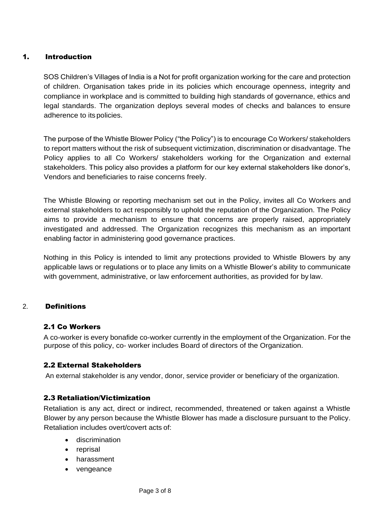## 1. Introduction

SOS Children's Villages of India is a Not for profit organization working for the care and protection of children. Organisation takes pride in its policies which encourage openness, integrity and compliance in workplace and is committed to building high standards of governance, ethics and legal standards. The organization deploys several modes of checks and balances to ensure adherence to its policies.

The purpose of the Whistle Blower Policy ("the Policy") is to encourage Co Workers/ stakeholders to report matters without the risk of subsequent victimization, discrimination or disadvantage. The Policy applies to all Co Workers/ stakeholders working for the Organization and external stakeholders. This policy also provides a platform for our key external stakeholders like donor's, Vendors and beneficiaries to raise concerns freely.

The Whistle Blowing or reporting mechanism set out in the Policy, invites all Co Workers and external stakeholders to act responsibly to uphold the reputation of the Organization. The Policy aims to provide a mechanism to ensure that concerns are properly raised, appropriately investigated and addressed. The Organization recognizes this mechanism as an important enabling factor in administering good governance practices.

Nothing in this Policy is intended to limit any protections provided to Whistle Blowers by any applicable laws or regulations or to place any limits on a Whistle Blower's ability to communicate with government, administrative, or law enforcement authorities, as provided for by law.

## 2. Definitions

## 2.1 Co Workers

A co-worker is every bonafide co-worker currently in the employment of the Organization. For the purpose of this policy, co- worker includes Board of directors of the Organization.

## 2.2 External Stakeholders

An external stakeholder is any vendor, donor, service provider or beneficiary of the organization.

## 2.3 Retaliation/Victimization

Retaliation is any act, direct or indirect, recommended, threatened or taken against a Whistle Blower by any person because the Whistle Blower has made a disclosure pursuant to the Policy. Retaliation includes overt/covert acts of:

- **•** discrimination
- reprisal
- harassment
- vengeance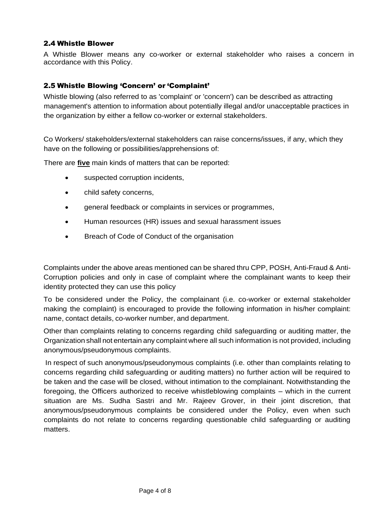## 2.4 Whistle Blower

A Whistle Blower means any co-worker or external stakeholder who raises a concern in accordance with this Policy.

## 2.5 Whistle Blowing 'Concern' or 'Complaint'

Whistle blowing (also referred to as 'complaint' or 'concern') can be described as attracting management's attention to information about potentially illegal and/or unacceptable practices in the organization by either a fellow co-worker or external stakeholders.

Co Workers/ stakeholders/external stakeholders can raise concerns/issues, if any, which they have on the following or possibilities/apprehensions of:

There are **five** main kinds of matters that can be reported:

- suspected corruption incidents,
- child safety concerns,
- general feedback or complaints in services or programmes,
- Human resources (HR) issues and sexual harassment issues
- Breach of Code of Conduct of the organisation

Complaints under the above areas mentioned can be shared thru CPP, POSH, Anti-Fraud & Anti-Corruption policies and only in case of complaint where the complainant wants to keep their identity protected they can use this policy

To be considered under the Policy, the complainant (i.e. co-worker or external stakeholder making the complaint) is encouraged to provide the following information in his/her complaint: name, contact details, co-worker number, and department.

Other than complaints relating to concerns regarding child safeguarding or auditing matter, the Organization shall not entertain any complaint where all such information is not provided, including anonymous/pseudonymous complaints.

In respect of such anonymous/pseudonymous complaints (i.e. other than complaints relating to concerns regarding child safeguarding or auditing matters) no further action will be required to be taken and the case will be closed, without intimation to the complainant. Notwithstanding the foregoing, the Officers authorized to receive whistleblowing complaints – which in the current situation are Ms. Sudha Sastri and Mr. Rajeev Grover, in their joint discretion, that anonymous/pseudonymous complaints be considered under the Policy, even when such complaints do not relate to concerns regarding questionable child safeguarding or auditing matters.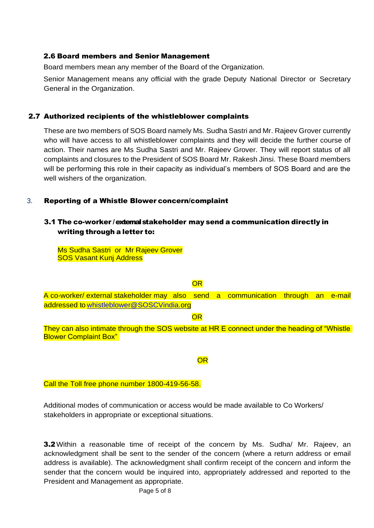#### 2.6 Board members and Senior Management

Board members mean any member of the Board of the Organization.

Senior Management means any official with the grade Deputy National Director or Secretary General in the Organization.

## 2.7 Authorized recipients of the whistleblower complaints

These are two members of SOS Board namely Ms. Sudha Sastri and Mr. Rajeev Grover currently who will have access to all whistleblower complaints and they will decide the further course of action. Their names are Ms Sudha Sastri and Mr. Rajeev Grover. They will report status of all complaints and closures to the President of SOS Board Mr. Rakesh Jinsi. These Board members will be performing this role in their capacity as individual's members of SOS Board and are the well wishers of the organization.

## 3. Reporting of a Whistle Blower concern/complaint

## 3.1 The co-worker / external stakeholder may send a communication directly in writing through a letter to:

Ms Sudha Sastri or Mr Rajeev Grover SOS Vasant Kunj Address

## **OR**

A co-worker/ external stakeholder may also send a communication through an e-mail addressed t[o whistleblower@SOSCVindia.o](mailto:whistleblower@SOSCVindia.)rg

#### **OR**

They can also intimate through the SOS website at HR E connect under the heading of "Whistle **Blower Complaint Box"** 

## OR

#### Call the Toll free phone number 1800-419-56-58.

Additional modes of communication or access would be made available to Co Workers/ stakeholders in appropriate or exceptional situations.

**3.2** Within a reasonable time of receipt of the concern by Ms. Sudha/ Mr. Rajeev, an acknowledgment shall be sent to the sender of the concern (where a return address or email address is available). The acknowledgment shall confirm receipt of the concern and inform the sender that the concern would be inquired into, appropriately addressed and reported to the President and Management as appropriate.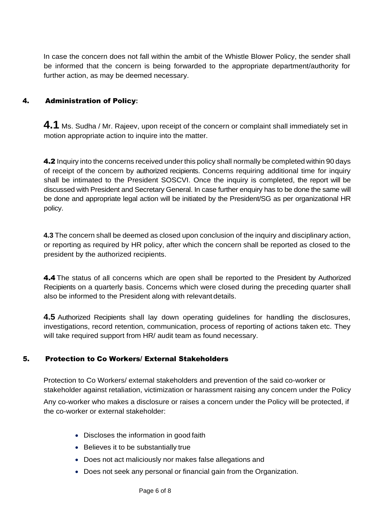In case the concern does not fall within the ambit of the Whistle Blower Policy, the sender shall be informed that the concern is being forwarded to the appropriate department/authority for further action, as may be deemed necessary.

## 4. Administration of Policy**:**

**4.1** Ms. Sudha / Mr. Rajeev, upon receipt of the concern or complaint shall immediately set in motion appropriate action to inquire into the matter.

4.2 Inquiry into the concerns received under this policy shall normally be completed within 90 days of receipt of the concern by authorized recipients. Concerns requiring additional time for inquiry shall be intimated to the President SOSCVI. Once the inquiry is completed, the report will be discussed with President and Secretary General. In case further enquiry has to be done the same will be done and appropriate legal action will be initiated by the President/SG as per organizational HR policy.

**4.3** The concern shall be deemed as closed upon conclusion of the inquiry and disciplinary action, or reporting as required by HR policy, after which the concern shall be reported as closed to the president by the authorized recipients.

4.4 The status of all concerns which are open shall be reported to the President by Authorized Recipients on a quarterly basis. Concerns which were closed during the preceding quarter shall also be informed to the President along with relevantdetails.

**4.5** Authorized Recipients shall lay down operating guidelines for handling the disclosures, investigations, record retention, communication, process of reporting of actions taken etc. They will take required support from HR/ audit team as found necessary.

## 5. Protection to Co Workers/ External Stakeholders

Protection to Co Workers/ external stakeholders and prevention of the said co-worker or stakeholder against retaliation, victimization or harassment raising any concern under the Policy

Any co-worker who makes a disclosure or raises a concern under the Policy will be protected, if the co-worker or external stakeholder:

- Discloses the information in good faith
- Believes it to be substantially true
- Does not act maliciously nor makes false allegations and
- Does not seek any personal or financial gain from the Organization.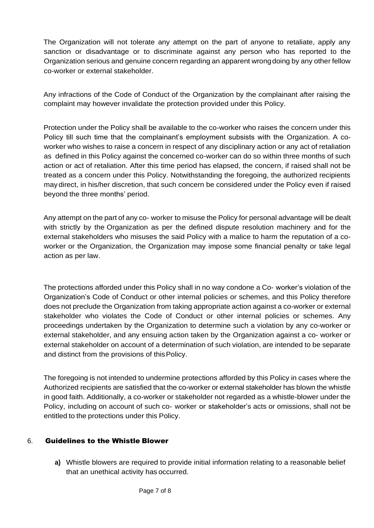The Organization will not tolerate any attempt on the part of anyone to retaliate, apply any sanction or disadvantage or to discriminate against any person who has reported to the Organization serious and genuine concern regarding an apparent wrongdoing by any other fellow co-worker or external stakeholder.

Any infractions of the Code of Conduct of the Organization by the complainant after raising the complaint may however invalidate the protection provided under this Policy.

Protection under the Policy shall be available to the co-worker who raises the concern under this Policy till such time that the complainant's employment subsists with the Organization. A coworker who wishes to raise a concern in respect of any disciplinary action or any act of retaliation as defined in this Policy against the concerned co-worker can do so within three months of such action or act of retaliation. After this time period has elapsed, the concern, if raised shall not be treated as a concern under this Policy. Notwithstanding the foregoing, the authorized recipients may direct, in his/her discretion, that such concern be considered under the Policy even if raised beyond the three months' period.

Any attempt on the part of any co- worker to misuse the Policy for personal advantage will be dealt with strictly by the Organization as per the defined dispute resolution machinery and for the external stakeholders who misuses the said Policy with a malice to harm the reputation of a coworker or the Organization, the Organization may impose some financial penalty or take legal action as per law.

The protections afforded under this Policy shall in no way condone a Co- worker's violation of the Organization's Code of Conduct or other internal policies or schemes, and this Policy therefore does not preclude the Organization from taking appropriate action against a co-worker or external stakeholder who violates the Code of Conduct or other internal policies or schemes. Any proceedings undertaken by the Organization to determine such a violation by any co-worker or external stakeholder, and any ensuing action taken by the Organization against a co- worker or external stakeholder on account of a determination of such violation, are intended to be separate and distinct from the provisions of thisPolicy.

The foregoing is not intended to undermine protections afforded by this Policy in cases where the Authorized recipients are satisfied that the co-worker or external stakeholder has blown the whistle in good faith. Additionally, a co-worker or stakeholder not regarded as a whistle-blower under the Policy, including on account of such co- worker or stakeholder's acts or omissions, shall not be entitled to the protections under this Policy.

## 6. Guidelines to the Whistle Blower

**a)** Whistle blowers are required to provide initial information relating to a reasonable belief that an unethical activity has occurred.